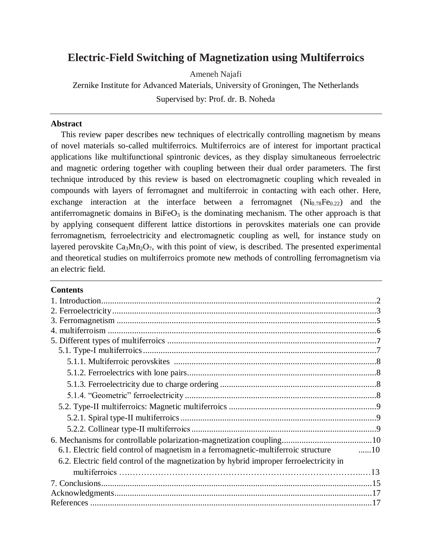# **Electric-Field Switching of Magnetization using Multiferroics**

Ameneh Najafi

Zernike Institute for Advanced Materials, University of Groningen, The Netherlands Supervised by: Prof. dr. B. Noheda

### **Abstract**

This review paper describes new techniques of electrically controlling magnetism by means of novel materials so-called multiferroics. Multiferroics are of interest for important practical applications like multifunctional spintronic devices, as they display simultaneous ferroelectric and magnetic ordering together with coupling between their dual order parameters. The first technique introduced by this review is based on electromagnetic coupling which revealed in compounds with layers of ferromagnet and multiferroic in contacting with each other. Here, exchange interaction at the interface between a ferromagnet  $(Ni_{0.78}Fe_{0.22})$  and the antiferromagnetic domains in  $BiFeO<sub>3</sub>$  is the dominating mechanism. The other approach is that by applying consequent different lattice distortions in perovskites materials one can provide ferromagnetism, ferroelectricity and electromagnetic coupling as well, for instance study on layered perovskite  $Ca<sub>3</sub>Mn<sub>2</sub>O<sub>7</sub>$ , with this point of view, is described. The presented experimental and theoretical studies on multiferroics promote new methods of controlling ferromagnetism via an electric field.

### **Contents**

| 6.1. Electric field control of magnetism in a ferromagnetic-multiferroic structure 10   |  |
|-----------------------------------------------------------------------------------------|--|
| 6.2. Electric field control of the magnetization by hybrid improper ferroelectricity in |  |
|                                                                                         |  |
|                                                                                         |  |
|                                                                                         |  |
|                                                                                         |  |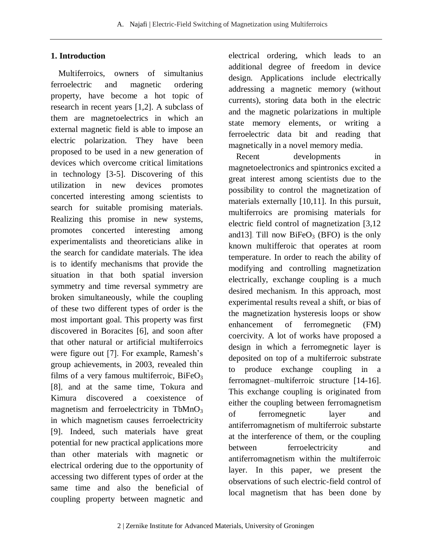### **1. Introduction**

Multiferroics, owners of simultanius ferroelectric and magnetic ordering property, have become a hot topic of research in recent years [1,2]. A subclass of them are magnetoelectrics in which an external magnetic field is able to impose an electric polarization. They have been proposed to be used in a new generation of devices which overcome critical limitations in technology [3-5]. Discovering of this utilization in new devices promotes concerted interesting among scientists to search for suitable promising materials. Realizing this promise in new systems, promotes concerted interesting among experimentalists and theoreticians alike in the search for candidate materials. The idea is to identify mechanisms that provide the situation in that both spatial inversion symmetry and time reversal symmetry are broken simultaneously, while the coupling of these two different types of order is the most important goal. This property was first discovered in Boracites [6], and soon after that other natural or artificial multiferroics were figure out [7]. For example, Ramesh's group achievements, in 2003, revealed thin films of a very famous multiferroic,  $BiFeO<sub>3</sub>$ [8], and at the same time, Tokura and Kimura discovered a coexistence of magnetism and ferroelectricity in  $TbMnO<sub>3</sub>$ in which magnetism causes ferroelectricity [9]. Indeed, such materials have great potential for new practical applications more than other materials with magnetic or electrical ordering due to the opportunity of accessing two different types of order at the same time and also the beneficial of coupling property between magnetic and

electrical ordering, which leads to an additional degree of freedom in device design. Applications include electrically addressing a magnetic memory (without currents), storing data both in the electric and the magnetic polarizations in multiple state memory elements, or writing a ferroelectric data bit and reading that magnetically in a novel memory media.

Recent developments in magnetoelectronics and spintronics excited a great interest among scientists due to the possibility to control the magnetization of materials externally [10,11]. In this pursuit, multiferroics are promising materials for electric field control of magnetization [3,12 and 13]. Till now  $BiFeO<sub>3</sub>$  (BFO) is the only known multifferoic that operates at room temperature. In order to reach the ability of modifying and controlling magnetization electrically, exchange coupling is a much desired mechanism. In this approach, most experimental results reveal a shift, or bias of the magnetization hysteresis loops or show enhancement of ferromegnetic (FM) coercivity. A lot of works have proposed a design in which a ferromegnetic layer is deposited on top of a multiferroic substrate to produce exchange coupling in a ferromagnet–multiferroic structure [14-16]. This exchange coupling is originated from either the coupling between ferromagnetism of ferromegnetic layer and antiferromagnetism of multiferroic substarte at the interference of them, or the coupling between ferroelectricity and antiferromagnetism within the multiferroic layer. In this paper, we present the observations of such electric-field control of local magnetism that has been done by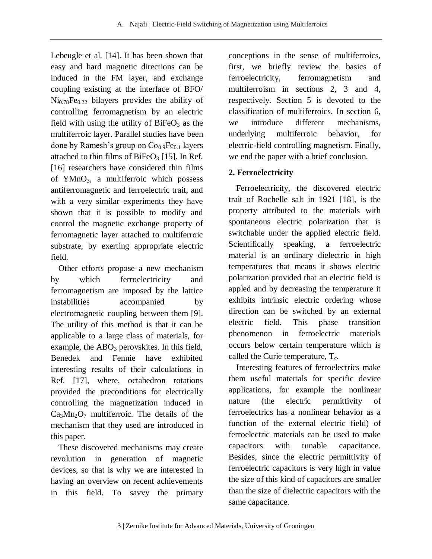Lebeugle et al. [14]. It has been shown that easy and hard magnetic directions can be induced in the FM layer, and exchange coupling existing at the interface of BFO/  $Ni<sub>0.78</sub>Fe<sub>0.22</sub> bilayers provides the ability of$ controlling ferromagnetism by an electric field with using the utility of  $BiFeO<sub>3</sub>$  as the multiferroic layer. Parallel studies have been done by Ramesh's group on  $Co<sub>0.9</sub>Fe<sub>0.1</sub>$  layers attached to thin films of  $BiFeO<sub>3</sub>$  [15]. In Ref. [16] researchers have considered thin films of YMnO3, a multiferroic which possess antiferromagnetic and ferroelectric trait, and with a very similar experiments they have shown that it is possible to modify and control the magnetic exchange property of ferromagnetic layer attached to multiferroic substrate, by exerting appropriate electric field.

Other efforts propose a new mechanism by which ferroelectricity and ferromagnetism are imposed by the lattice instabilities accompanied by electromagnetic coupling between them [9]. The utility of this method is that it can be applicable to a large class of materials, for example, the  $ABO<sub>3</sub>$  perovskites. In this field, Benedek and Fennie have exhibited interesting results of their calculations in Ref. [17], where, octahedron rotations provided the preconditions for electrically controlling the magnetization induced in  $Ca<sub>3</sub>Mn<sub>2</sub>O<sub>7</sub>$  multiferroic. The details of the mechanism that they used are introduced in this paper.

These discovered mechanisms may create revolution in generation of magnetic devices, so that is why we are interested in having an overview on recent achievements in this field. To savvy the primary

conceptions in the sense of multiferroics, first, we briefly review the basics of ferroelectricity, ferromagnetism and multiferroism in sections 2, 3 and 4, respectively. Section 5 is devoted to the classification of multiferroics. In section 6, we introduce different mechanisms, underlying multiferroic behavior, for electric-field controlling magnetism. Finally, we end the paper with a brief conclusion.

## **2. Ferroelectricity**

Ferroelectricity, the discovered electric trait of Rochelle salt in 1921 [18], is the property attributed to the materials with spontaneous electric polarization that is switchable under the applied electric field. Scientifically speaking, a ferroelectric material is an ordinary dielectric in high temperatures that means it shows electric polarization provided that an electric field is appled and by decreasing the temperature it exhibits intrinsic electric ordering whose direction can be switched by an external electric field. This phase transition phenomenon in ferroelectric materials occurs below certain temperature which is called the Curie temperature,  $T_c$ .

Interesting features of ferroelectrics make them useful materials for specific device applications, for example the nonlinear nature (the electric [permittivity](http://en.wikipedia.org/wiki/Permittivity) of ferroelectrics has a nonlinear behavior as a function of the external electric field) of ferroelectric materials can be used to make capacitors with tunable capacitance. Besides, since the electric permittivity of ferroelectric capacitors is very high in value the size of this kind of capacitors are smaller than the size of dielectric capacitors with the same capacitance.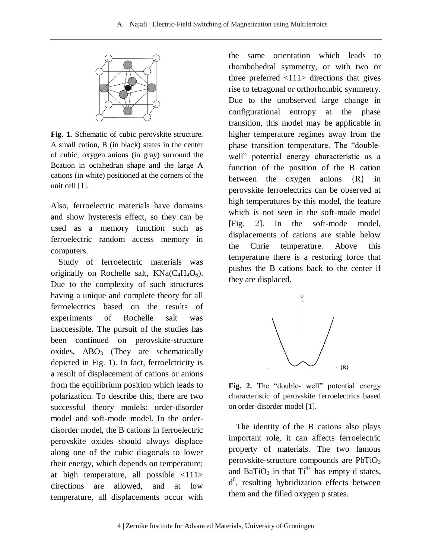

**Fig. 1.** Schematic of cubic perovskite structure. A small cation, B (in black) states in the center of cubic, oxygen anions (in gray) surround the Bcation in octahedran shape and the large A cations (in white) positioned at the corners of the unit cell [1].

Also, ferroelectric materials have domains and show hysteresis effect, so they can be used as a memory function such as ferroelectric random access memory in computers.

Study of ferroelectric materials was originally on Rochelle salt,  $KNa(C_4H_4O_6)$ . Due to the complexity of such structures having a unique and complete theory for all ferroelectrics based on the results of experiments of Rochelle salt was inaccessible. The pursuit of the studies has been continued on perovskite-structure oxides,  $ABO<sub>3</sub>$  (They are schematically depicted in Fig. 1). In fact, ferroelctricity is a result of displacement of cations or anions from the equilibrium position which leads to polarization. To describe this, there are two successful theory models: order-disorder model and soft-mode model. In the orderdisorder model, the B cations in ferroelectric perovskite oxides should always displace along one of the cubic diagonals to lower their energy, which depends on temperature; at high temperature, all possible <111> directions are allowed, and at low temperature, all displacements occur with

the same orientation which leads to rhombohedral symmetry, or with two or three preferred  $\langle 111 \rangle$  directions that gives rise to tetragonal or orthorhombic symmetry. Due to the unobserved large change in configurational entropy at the phase transition, this model may be applicable in higher temperature regimes away from the phase transition temperature. The "doublewell" potential energy characteristic as a function of the position of the B cation between the oxygen anions {R} in perovskite ferroelectrics can be observed at high temperatures by this model, the feature which is not seen in the soft-mode model [Fig. 2]. In the soft-mode model, displacements of cations are stable below the Curie temperature. Above this temperature there is a restoring force that pushes the B cations back to the center if they are displaced.



**Fig. 2.** The "double- well" potential energy characteristic of perovskite ferroelectrics based on order-disorder model [1].

The identity of the B cations also plays important role, it can affects ferroelectric property of materials. The two famous perovskite-structure compounds are  $PbTiO<sub>3</sub>$ and BaTiO<sub>3</sub> in that  $Ti^{4+}$  has empty d states, d<sup>0</sup>, resulting hybridization effects between them and the filled oxygen p states.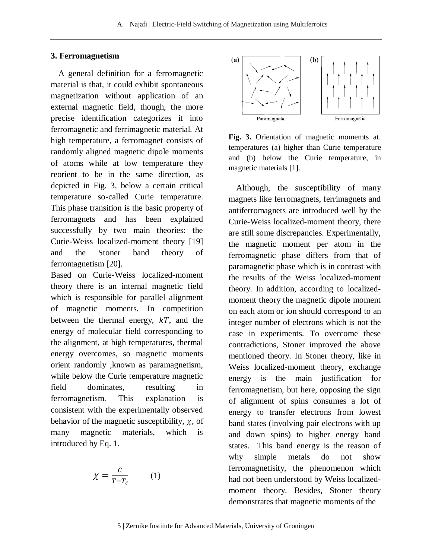#### **3. Ferromagnetism**

A general definition for a ferromagnetic material is that, it could exhibit spontaneous magnetization without application of an external magnetic field, though, the more precise identification categorizes it into ferromagnetic and ferrimagnetic material. At high temperature, a ferromagnet consists of randomly aligned magnetic dipole moments of atoms while at low temperature they reorient to be in the same direction, as depicted in Fig. 3, below a certain critical temperature so-called Curie temperature. This phase transition is the basic property of ferromagnets and has been explained successfully by two main theories: the Curie-Weiss localized-moment theory [19] and the Stoner band theory of ferromagnetism [20].

Based on Curie-Weiss localized-moment theory there is an internal magnetic field which is responsible for parallel alignment of magnetic moments. In competition between the thermal energy,  $kT$ , and the energy of molecular field corresponding to the alignment, at high temperatures, thermal energy overcomes, so magnetic moments orient randomly ,known as paramagnetism, while below the Curie temperature magnetic field dominates, resulting in ferromagnetism. This explanation is consistent with the experimentally observed behavior of the magnetic susceptibility,  $\chi$ , of many magnetic materials, which is introduced by Eq. 1.

$$
\chi = \frac{c}{T - T_c} \qquad (1)
$$



**Fig. 3.** Orientation of magnetic momemts at. temperatures (a) higher than Curie temperature and (b) below the Curie temperature, in magnetic materials [1].

Although, the susceptibility of many magnets like ferromagnets, ferrimagnets and antiferromagnets are introduced well by the Curie-Weiss localized-moment theory, there are still some discrepancies. Experimentally, the magnetic moment per atom in the ferromagnetic phase differs from that of paramagnetic phase which is in contrast with the results of the Weiss localized-moment theory. In addition, according to localizedmoment theory the magnetic dipole moment on each atom or ion should correspond to an integer number of electrons which is not the case in experiments. To overcome these contradictions, Stoner improved the above mentioned theory. In Stoner theory, like in Weiss localized-moment theory, exchange energy is the main justification for ferromagnetism, but here, opposing the sign of alignment of spins consumes a lot of energy to transfer electrons from lowest band states (involving pair electrons with up and down spins) to higher energy band states. This band energy is the reason of why simple metals do not show ferromagnetisity, the phenomenon which had not been understood by Weiss localizedmoment theory. Besides, Stoner theory demonstrates that magnetic moments of the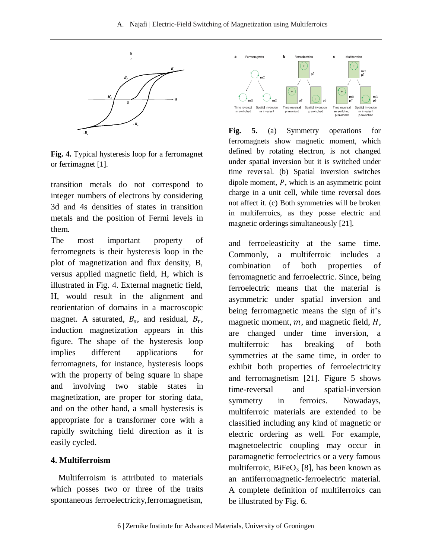#### A. Najafi | Electric-Field Switching of Magnetization using Multiferroics



**Fig. 4.** Typical hysteresis loop for a ferromagnet or ferrimagnet [1].

transition metals do not correspond to integer numbers of electrons by considering 3d and 4s densities of states in transition metals and the position of Fermi levels in them.

The most important property of ferromegnets is their hysteresis loop in the plot of magnetization and flux density, B, versus applied magnetic field, H, which is illustrated in Fig. 4. External magnetic field, H, would result in the alignment and reorientation of domains in a macroscopic magnet. A saturated,  $B_s$ , and residual,  $B_r$ , induction magnetization appears in this figure. The shape of the hysteresis loop implies different applications for ferromagnets, for instance, hysteresis loops with the property of being square in shape and involving two stable states in magnetization, are proper for storing data, and on the other hand, a small hysteresis is appropriate for a transformer core with a rapidly switching field direction as it is easily cycled.

#### **4. Multiferroism**

Multiferroism is attributed to materials which posses two or three of the traits spontaneous ferroelectricity,ferromagnetism,



**Fig. 5.** (a) Symmetry operations for ferromagnets show magnetic moment, which defined by rotating electron, is not changed under spatial inversion but it is switched under time reversal. (b) Spatial inversion switches dipole moment,  $P$ , which is an asymmetric point charge in a unit cell, while time reversal does not affect it. (c) Both symmetries will be broken in multiferroics, as they posse electric and magnetic orderings simultaneously [21].

and ferroeleasticity at the same time. Commonly, a multiferroic includes a combination of both properties of ferromagnetic and ferroelectric. Since, being ferroelectric means that the material is asymmetric under spatial inversion and being ferromagnetic means the sign of it's magnetic moment,  $m$ , and magnetic field,  $H$ , are changed under time inversion, a multiferroic has breaking of both symmetries at the same time, in order to exhibit both properties of ferroelectricity and ferromagnetism [21]. Figure 5 shows time-reversal and spatial-inversion symmetry in ferroics. Nowadays, multiferroic materials are extended to be classified including any kind of magnetic or electric ordering as well. For example, magnetoelectric coupling may occur in paramagnetic ferroelectrics or a very famous multiferroic,  $BiFeO<sub>3</sub>$  [8], has been known as an antiferromagnetic-ferroelectric material. A complete definition of multiferroics can be illustrated by Fig. 6.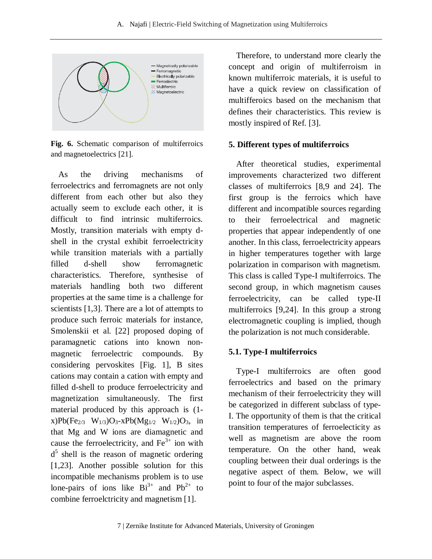

**Fig. 6.** Schematic comparison of multiferroics and magnetoelectrics [21].

As the driving mechanisms of ferroelectrics and ferromagnets are not only different from each other but also they actually seem to exclude each other, it is difficult to find intrinsic multiferroics. Mostly, transition materials with empty dshell in the crystal exhibit ferroelectricity while transition materials with a partially filled d-shell show ferromagnetic characteristics. Therefore, synthesise of materials handling both two different properties at the same time is a challenge for scientists [1,3]. There are a lot of attempts to produce such ferroic materials for instance, Smolenskii et al. [22] proposed doping of paramagnetic cations into known nonmagnetic ferroelectric compounds. By considering pervoskites [Fig. 1], B sites cations may contain a cation with empty and filled d-shell to produce ferroelectricity and magnetization simultaneously. The first material produced by this approach is (1 x)Pb(Fe<sub>2/3</sub> W<sub>1/3</sub>)O<sub>3</sub>-xPb(Mg<sub>1/2</sub> W<sub>1/2</sub>)O<sub>3</sub>, in that Mg and W ions are diamagnetic and cause the ferroelectricity, and  $Fe<sup>3+</sup>$  ion with d<sup>5</sup> shell is the reason of magnetic ordering [1,23]. Another possible solution for this incompatible mechanisms problem is to use lone-pairs of ions like  $Bi^{3+}$  and  $Pb^{2+}$  to combine ferroelctricity and magnetism [1].

Therefore, to understand more clearly the concept and origin of multiferroism in known multiferroic materials, it is useful to have a quick review on classification of multifferoics based on the mechanism that defines their characteristics. This review is mostly inspired of Ref. [3].

#### **5. Different types of multiferroics**

After theoretical studies, experimental improvements characterized two different classes of multiferroics [8,9 and 24]. The first group is the ferroics which have different and incompatible sources regarding to their ferroelectrical and magnetic properties that appear independently of one another. In this class, ferroelectricity appears in higher temperatures together with large polarization in comparison with magnetism. This class is called Type-I multiferroics. The second group, in which magnetism causes ferroelectricity, can be called type-II multiferroics [9,24]. In this group a strong electromagnetic coupling is implied, though the polarization is not much considerable.

### **5.1. Type-I multiferroics**

Type-I multiferroics are often good ferroelectrics and based on the primary mechanism of their ferroelectricity they will be categorized in different subclass of type-I. The opportunity of them is that the critical transition temperatures of ferroelecticity as well as magnetism are above the room temperature. On the other hand, weak coupling between their dual orderings is the negative aspect of them. Below, we will point to four of the major subclasses.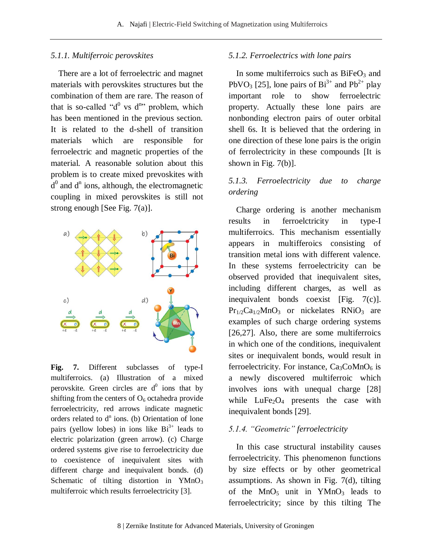#### *5.1.1. Multiferroic perovskites*

There are a lot of ferroelectric and magnet materials with perovskites structures but the combination of them are rare. The reason of that is so-called " $d^0$  vs  $d^{n}$ " problem, which has been mentioned in the previous section. It is related to the d-shell of transition materials which are responsible for ferroelectric and magnetic properties of the material. A reasonable solution about this problem is to create mixed prevoskites with  $d<sup>0</sup>$  and  $d<sup>n</sup>$  ions, although, the electromagnetic coupling in mixed perovskites is still not strong enough [See Fig. 7(a)].



**Fig. 7.** Different subclasses of type-I multiferroics. (a) Illustration of a mixed perovskite. Green circles are  $d^0$  ions that by shifting from the centers of  $O_6$  octahedra provide ferroelectricity, red arrows indicate magnetic orders related to  $d^n$  ions. (b) Orientation of lone pairs (yellow lobes) in ions like  $Bi^{3+}$  leads to electric polarization (green arrow). (c) Charge ordered systems give rise to ferroelectricity due to coexistence of inequivalent sites with different charge and inequivalent bonds. (d) Schematic of tilting distortion in  $YMnO<sub>3</sub>$ multiferroic which results ferroelectricity [3].

#### *5.1.2. Ferroelectrics with lone pairs*

In some multiferroics such as  $BiFeO<sub>3</sub>$  and PbVO<sub>3</sub> [25], lone pairs of  $Bi^{3+}$  and  $Pb^{2+}$  play important role to show ferroelectric property. Actually these lone pairs are nonbonding electron pairs of outer orbital shell 6s. It is believed that the ordering in one direction of these lone pairs is the origin of ferrolectricity in these compounds [It is shown in Fig. 7(b)].

### *5.1.3. Ferroelectricity due to charge ordering*

Charge ordering is another mechanism results in ferroelctricity in type-I multiferroics. This mechanism essentially appears in multifferoics consisting of transition metal ions with different valence. In these systems ferroelectricity can be observed provided that inequivalent sites, including different charges, as well as inequivalent bonds coexist [Fig. 7(c)].  $Pr_{1/2}Ca_{1/2}MnO_3$  or nickelates RNiO<sub>3</sub> are examples of such charge ordering systems [26,27]. Also, there are some multiferroics in which one of the conditions, inequivalent sites or inequivalent bonds, would result in ferroelectricity. For instance,  $Ca<sub>3</sub>CoMnO<sub>6</sub>$  is a newly discovered multiferroic which involves ions with unequal charge [28] while  $LuFe<sub>2</sub>O<sub>4</sub>$  presents the case with inequivalent bonds [29].

#### *5.1.4. "Geometric" ferroelectricity*

In this case structural instability causes ferroelectricity. This phenomenon functions by size effects or by other geometrical assumptions. As shown in Fig. 7(d), tilting of the  $MnO<sub>5</sub>$  unit in YMnO<sub>3</sub> leads to ferroelectricity; since by this tilting The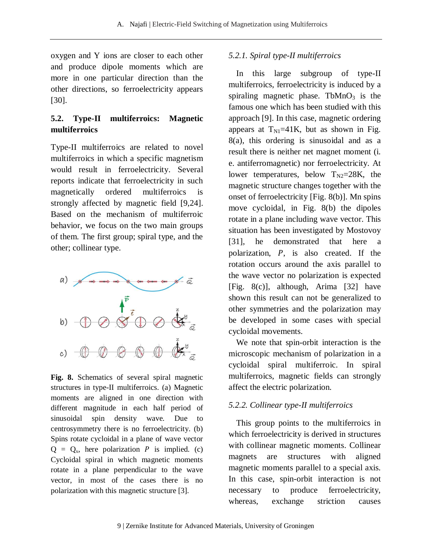oxygen and Y ions are closer to each other and produce dipole moments which are more in one particular direction than the other directions, so ferroelectricity appears [30].

## **5.2. Type-II multiferroics: Magnetic multiferroics**

Type-II multiferroics are related to novel multiferroics in which a specific magnetism would result in ferroelectricity. Several reports indicate that ferroelectricity in such magnetically ordered multiferroics is strongly affected by magnetic field [9,24]. Based on the mechanism of multiferroic behavior, we focus on the two main groups of them. The first group; spiral type, and the other; collinear type.



**Fig. 8.** Schematics of several spiral magnetic structures in type-II multiferroics. (a) Magnetic moments are aligned in one direction with different magnitude in each half period of sinusoidal spin density wave. Due to centrosymmetry there is no ferroelectricity. (b) Spins rotate cycloidal in a plane of wave vector  $Q = Q_x$ , here polarization P is implied. (c) Cycloidal spiral in which magnetic moments rotate in a plane perpendicular to the wave vector, in most of the cases there is no polarization with this magnetic structure [3].

### *5.2.1. Spiral type-II multiferroics*

In this large subgroup of type-II multiferroics, ferroelectricity is induced by a spiraling magnetic phase. TbMn $O<sub>3</sub>$  is the famous one which has been studied with this approach [9]. In this case, magnetic ordering appears at  $T_{\text{N1}}=41$ K, but as shown in Fig. 8(a), this ordering is sinusoidal and as a result there is neither net magnet moment (i. e. antiferromagnetic) nor ferroelectricity. At lower temperatures, below  $T_{N2}=28K$ , the magnetic structure changes together with the onset of ferroelectricity [Fig. 8(b)]. Mn spins move cycloidal, in Fig. 8(b) the dipoles rotate in a plane including wave vector. This situation has been investigated by Mostovoy [31], he demonstrated that here a polarization,  $P$ , is also created. If the rotation occurs around the axis parallel to the wave vector no polarization is expected [Fig. 8(c)], although, Arima [32] have shown this result can not be generalized to other symmetries and the polarization may be developed in some cases with special cycloidal movements.

We note that spin-orbit interaction is the microscopic mechanism of polarization in a cycloidal spiral multiferroic. In spiral multiferroics, magnetic fields can strongly affect the electric polarization.

### *5.2.2. Collinear type-II multiferroics*

This group points to the multiferroics in which ferroelectricity is derived in structures with collinear magnetic moments. Collinear magnets are structures with aligned magnetic moments parallel to a special axis. In this case, spin-orbit interaction is not necessary to produce ferroelectricity, whereas, exchange striction causes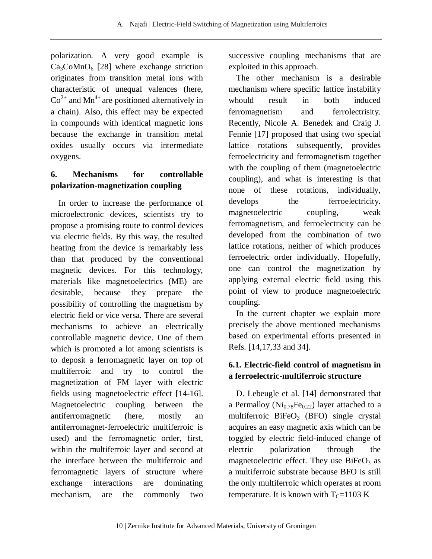polarization. A very good example is  $Ca<sub>3</sub>CoMnO<sub>6</sub>$  [28] where exchange striction originates from transition metal ions with characteristic of unequal valences (here,  $Co<sup>2+</sup>$  and Mn<sup>4+</sup> are positioned alternatively in a chain). Also, this effect may be expected in compounds with identical magnetic ions because the exchange in transition metal oxides usually occurs via intermediate oxygens.

## **6. Mechanisms for controllable polarization-magnetization coupling**

In order to increase the performance of microelectronic devices, scientists try to propose a promising route to control devices via electric fields. By this way, the resulted heating from the device is remarkably less than that produced by the conventional magnetic devices. For this technology, materials like magnetoelectrics (ME) are desirable, because they prepare the possibility of controlling the magnetism by electric field or vice versa. There are several mechanisms to achieve an electrically controllable magnetic device. One of them which is promoted a lot among scientists is to deposit a ferromagnetic layer on top of multiferroic and try to control the magnetization of FM layer with electric fields using magnetoelectric effect [14-16]. Magnetoelectric coupling between the antiferromagnetic (here, mostly an antiferromagnet-ferroelectric multiferroic is used) and the ferromagnetic order, first, within the multiferroic layer and second at the interface between the multiferroic and ferromagnetic layers of structure where exchange interactions are dominating mechanism, are the commonly two

successive coupling mechanisms that are exploited in this approach.

The other mechanism is a desirable mechanism where specific lattice instability whould result in both induced ferromagnetism and ferrolectrisity. Recently, Nicole A. Benedek and Craig J. Fennie [17] proposed that using two special lattice rotations subsequently, provides ferroelectricity and ferromagnetism together with the coupling of them (magnetoelectric coupling), and what is interesting is that none of these rotations, individually, develops the ferroelectricity. magnetoelectric coupling, weak ferromagnetism, and ferroelectricity can be developed from the combination of two lattice rotations, neither of which produces ferroelectric order individually. Hopefully, one can control the magnetization by applying external electric field using this point of view to produce magnetoelectric coupling.

In the current chapter we explain more precisely the above mentioned mechanisms based on experimental efforts presented in Refs. [14,17,33 and 34].

## **6.1. Electric-field control of magnetism in a ferroelectric-multiferroic structure**

D. Lebeugle et al. [14] demonstrated that a Permalloy ( $Ni_{0.78}Fe_{0.22}$ ) layer attached to a multiferroic  $BiFeO<sub>3</sub>$  (BFO) single crystal acquires an easy magnetic axis which can be toggled by electric field-induced change of electric polarization through the magnetoelectric effect. They use  $BiFeO<sub>3</sub>$  as a multiferroic substrate because BFO is still the only multiferroic which operates at room temperature. It is known with  $T_c=1103$  K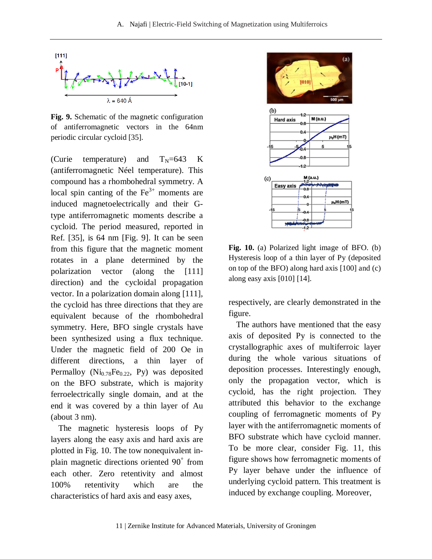

**Fig. 9.** Schematic of the magnetic configuration of antiferromagnetic vectors in the 64nm periodic circular cycloid [35].

(Curie temperature) and  $T_N=643$  K (antiferromagnetic Néel temperature). This compound has a rhombohedral symmetry. A local spin canting of the  $Fe<sup>3+</sup>$  moments are induced magnetoelectrically and their Gtype antiferromagnetic moments describe a cycloid. The period measured, reported in Ref. [35], is 64 nm [Fig. 9]. It can be seen from this figure that the magnetic moment rotates in a plane determined by the polarization vector (along the [111] direction) and the cycloidal propagation vector. In a polarization domain along [111], the cycloid has three directions that they are equivalent because of the rhombohedral symmetry. Here, BFO single crystals have been synthesized using a flux technique. Under the magnetic field of 200 Oe in different directions, a thin layer of Permalloy  $(Ni_{0.78}Fe_{0.22}$ , Py) was deposited on the BFO substrate, which is majority ferroelectrically single domain, and at the end it was covered by a thin layer of Au (about 3 nm).

The magnetic hysteresis loops of Py layers along the easy axis and hard axis are plotted in Fig. 10. The tow nonequivalent inplain magnetic directions oriented 90° from each other. Zero retentivity and almost 100% retentivity which are the characteristics of hard axis and easy axes,



**Fig. 10.** (a) Polarized light image of BFO. (b) Hysteresis loop of a thin layer of Py (deposited on top of the BFO) along hard axis [100] and (c) along easy axis [010] [14].

respectively, are clearly demonstrated in the figure.

The authors have mentioned that the easy axis of deposited Py is connected to the crystallographic axes of multiferroic layer during the whole various situations of deposition processes. Interestingly enough, only the propagation vector, which is cycloid, has the right projection. They attributed this behavior to the exchange coupling of ferromagnetic moments of Py layer with the antiferromagnetic moments of BFO substrate which have cycloid manner. To be more clear, consider Fig. 11, this figure shows how ferromagnetic moments of Py layer behave under the influence of underlying cycloid pattern. This treatment is induced by exchange coupling. Moreover,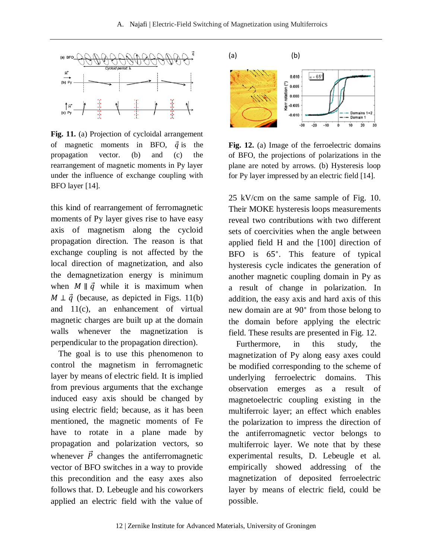

**Fig. 11.** (a) Projection of cycloidal arrangement of magnetic moments in BFO,  $\vec{q}$  is the propagation vector. (b) and (c) the rearrangement of magnetic moments in Py layer under the influence of exchange coupling with BFO layer [14].

this kind of rearrangement of ferromagnetic moments of Py layer gives rise to have easy axis of magnetism along the cycloid propagation direction. The reason is that exchange coupling is not affected by the local direction of magnetization, and also the demagnetization energy is minimum when  $M \parallel \vec{q}$  while it is maximum when  $M \perp \vec{q}$  (because, as depicted in Figs. 11(b) and 11(c), an enhancement of virtual magnetic charges are built up at the domain walls whenever the magnetization is perpendicular to the propagation direction).

The goal is to use this phenomenon to control the magnetism in ferromagnetic layer by means of electric field. It is implied from previous arguments that the exchange induced easy axis should be changed by using electric field; because, as it has been mentioned, the magnetic moments of Fe have to rotate in a plane made by propagation and polarization vectors, so whenever  $\vec{P}$  changes the antiferromagnetic vector of BFO switches in a way to provide this precondition and the easy axes also follows that. D. Lebeugle and his coworkers applied an electric field with the value of



Fig. 12. (a) Image of the ferroelectric domains of BFO, the projections of polarizations in the plane are noted by arrows. (b) Hysteresis loop for Py layer impressed by an electric field [14].

25 kV/cm on the same sample of Fig. 10. Their MOKE hysteresis loops measurements reveal two contributions with two different sets of coercivities when the angle between applied field H and the [100] direction of BFO is 65°. This feature of typical hysteresis cycle indicates the generation of another magnetic coupling domain in Py as a result of change in polarization. In addition, the easy axis and hard axis of this new domain are at 90° from those belong to the domain before applying the electric field. These results are presented in Fig. 12.

Furthermore, in this study, the magnetization of Py along easy axes could be modified corresponding to the scheme of underlying ferroelectric domains. This observation emerges as a result of magnetoelectric coupling existing in the multiferroic layer; an effect which enables the polarization to impress the direction of the antiferromagnetic vector belongs to multiferroic layer. We note that by these experimental results, D. Lebeugle et al. empirically showed addressing of the magnetization of deposited ferroelectric layer by means of electric field, could be possible.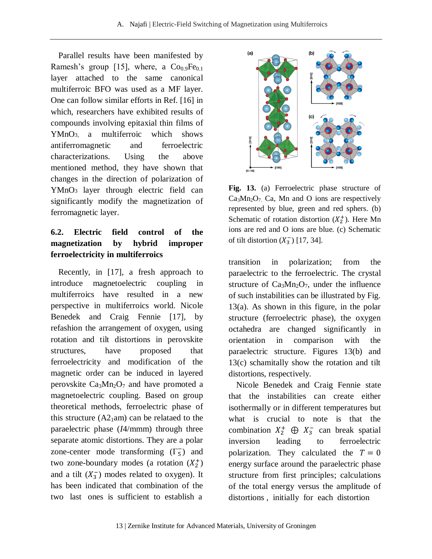Parallel results have been manifested by Ramesh's group [15], where, a  $Co<sub>0.9</sub>Fe<sub>0.1</sub>$ layer attached to the same canonical multiferroic BFO was used as a MF layer. One can follow similar efforts in Ref. [16] in which, researchers have exhibited results of compounds involving epitaxial thin films of YMnO3, a multiferroic which shows antiferromagnetic and ferroelectric characterizations. Using the above mentioned method, they have shown that changes in the direction of polarization of YMnO3 layer through electric field can significantly modify the magnetization of ferromagnetic layer.

## **6.2. Electric field control of the magnetization by hybrid improper ferroelectricity in multiferroics**

Recently, in [17], a fresh approach to introduce magnetoelectric coupling in multiferroics have resulted in a new perspective in multiferroics world. Nicole Benedek and Craig Fennie [17], by refashion the arrangement of oxygen, using rotation and tilt distortions in perovskite structures, have proposed that ferroelectricity and modification of the magnetic order can be induced in layered perovskite  $Ca<sub>3</sub>Mn<sub>2</sub>O<sub>7</sub>$  and have promoted a magnetoelectric coupling. Based on group theoretical methods, ferroelectric phase of this structure  $(A2_1am)$  can be relataed to the paraelectric phase (*I*4/mmm) through three separate atomic distortions. They are a polar zone-center mode transforming  $(\Gamma_5)$  and two zone-boundary modes (a rotation  $(X_2^+)$ and a tilt  $(X_3^-)$  modes related to oxygen). It has been indicated that combination of the two last ones is sufficient to establish a



**Fig. 13.** (a) Ferroelectric phase structure of  $Ca<sub>3</sub>Mn<sub>2</sub>O<sub>7</sub>$  Ca, Mn and O ions are respectively represented by blue, green and red sphers. (b) Schematic of rotation distortion  $(X_2^+)$ . Here Mn ions are red and O ions are blue. (c) Schematic of tilt distortion  $(X_3^-)$  [17, 34].

transition in polarization; from the paraelectric to the ferroelectric. The crystal structure of  $Ca<sub>3</sub>Mn<sub>2</sub>O<sub>7</sub>$ , under the influence of such instabilities can be illustrated by Fig. 13(a). As shown in this figure, in the polar structure (ferroelectric phase), the oxygen octahedra are changed significantly in orientation in comparison with the paraelectric structure. Figures 13(b) and 13(c) schamitally show the rotation and tilt distortions, respectively.

Nicole Benedek and Craig Fennie state that the instabilities can create either isothermally or in different temperatures but what is crucial to note is that the combination  $X_2^+ \oplus X_3^-$  can break spatial inversion leading to ferroelectric polarization. They calculated the  $T = 0$ energy surface around the paraelectric phase structure from first principles; calculations of the total energy versus the amplitude of distortions , initially for each distortion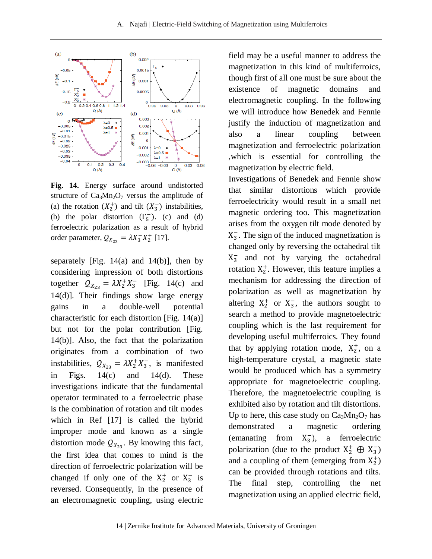

**Fig. 14.** Energy surface around undistorted structure of  $Ca_3Mn_2O_7$  versus the amplitude of (a) the rotation  $(X_2^+)$  and tilt  $(X_3^-)$  instabilities, (b) the polar distortion  $(\Gamma_5^-)$ . (c) and (d) ferroelectric polarization as a result of hybrid order parameter,  $Q_{X_{22}} = \lambda X_3^- X_2^+$  [17].

separately [Fig.  $14(a)$  and  $14(b)$ ], then by considering impression of both distortions together  $Q_{X_{22}} = \lambda X_2^+ X_3^-$  [Fig. 14(c) and 14(d)]. Their findings show large energy gains in a double-well potential characteristic for each distortion [Fig. 14(a)] but not for the polar contribution [Fig. 14(b)]. Also, the fact that the polarization originates from a combination of two instabilities,  $Q_{X_{22}} = \lambda X_2^+ X_3^-$ , is manifested in Figs.  $14(c)$  and  $14(d)$ . These investigations indicate that the fundamental operator terminated to a ferroelectric phase is the combination of rotation and tilt modes which in Ref [17] is called the hybrid improper mode and known as a single distortion mode  $Q_{X_{23}}$ . By knowing this fact, the first idea that comes to mind is the direction of ferroelectric polarization will be changed if only one of the  $X_2^+$  or  $X_3^-$  is reversed. Consequently, in the presence of an electromagnetic coupling, using electric

field may be a useful manner to address the magnetization in this kind of multiferroics, though first of all one must be sure about the existence of magnetic domains and electromagnetic coupling. In the following we will introduce how Benedek and Fennie justify the induction of magnetization and also a linear coupling between magnetization and ferroelectric polarization ,which is essential for controlling the magnetization by electric field.

Investigations of Benedek and Fennie show that similar distortions which provide ferroelectricity would result in a small net magnetic ordering too. This magnetization arises from the oxygen tilt mode denoted by  $X_3^-$ . The sign of the induced magnetization is changed only by reversing the octahedral tilt  $X_3^-$  and not by varying the octahedral rotation  $X_2^+$ . However, this feature implies a mechanism for addressing the direction of polarization as well as magnetization by altering  $X_2^+$  or  $X_3^-$ , the authors sought to search a method to provide magnetoelectric coupling which is the last requirement for developing useful multiferroics. They found that by applying rotation mode,  $X_2^+$ , on a high-temperature crystal, a magnetic state would be produced which has a symmetry appropriate for magnetoelectric coupling. Therefore, the magnetoelectric coupling is exhibited also by rotation and tilt distortions. Up to here, this case study on  $Ca<sub>3</sub>Mn<sub>2</sub>O<sub>7</sub>$  has demonstrated a magnetic ordering (emanating from  $X_3^-$ ), a ferroelectric polarization (due to the product  $X_2^+ \oplus X_3^-$ ) and a coupling of them (emerging from  $X_2^+$ ) can be provided through rotations and tilts. The final step, controlling the net magnetization using an applied electric field,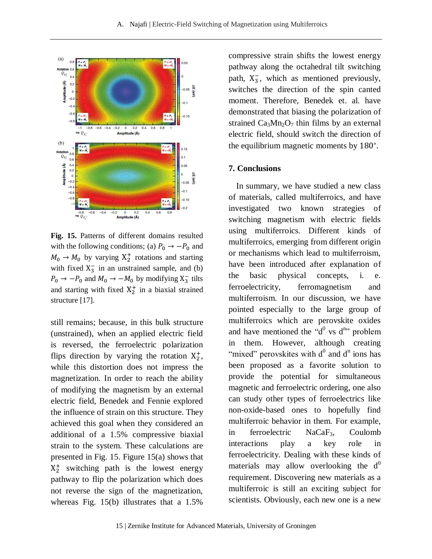

**Fig. 15.** Patterns of different domains resulted with the following conditions; (a)  $P_0 \rightarrow -P_0$  and  $M_0 \rightarrow M_0$  by varying  $X_2^+$  rotations and starting with fixed  $X_3^-$  in an unstrained sample, and (b)  $P_0 \rightarrow -P_0$  and  $M_0 \rightarrow -M_0$  by modifying  $X_3^-$  tilts and starting with fixed  $X_2^+$  in a biaxial strained structure [17].

still remains; because, in this bulk structure (unstrained), when an applied electric field is reversed, the ferroelectric polarization flips direction by varying the rotation  $X_2^+$ , while this distortion does not impress the magnetization. In order to reach the ability of modifying the magnetism by an external electric field, Benedek and Fennie explored the influence of strain on this structure. They achieved this goal when they considered an additional of a 1.5% compressive biaxial strain to the system. These calculations are presented in Fig. 15. Figure 15(a) shows that  $X_2^+$  switching path is the lowest energy pathway to flip the polarization which does not reverse the sign of the magnetization, whereas Fig. 15(b) illustrates that a 1.5%

compressive strain shifts the lowest energy pathway along the octahedral tilt switching path,  $X_3^-$ , which as mentioned previously, switches the direction of the spin canted moment. Therefore, Benedek et. al. have demonstrated that biasing the polarization of strained  $Ca<sub>3</sub>Mn<sub>2</sub>O<sub>7</sub>$  thin films by an external electric field, should switch the direction of the equilibrium magnetic moments by 180°.

#### **7. Conclusions**

In summary, we have studied a new class of materials, called multiferroics, and have investigated two known strategies of switching magnetism with electric fields using multiferroics. Different kinds of multiferroics, emerging from different origin or mechanisms which lead to multiferroism, have been introduced after explanation of the basic physical concepts, i. e. ferroelectricity, ferromagnetism and multiferroism. In our discussion, we have pointed especially to the large group of multiferroics which are perovskite oxides and have mentioned the " $d^0$  vs  $d^{n}$ " problem in them. However, although creating "mixed" perovskites with  $d^0$  and  $d^n$  ions has been proposed as a favorite solution to provide the potential for simultaneous magnetic and ferroelectric ordering, one also can study other types of ferroelectrics like non-oxide-based ones to hopefully find multiferroic behavior in them. For example, in ferroelectric NaCaF<sub>3</sub>, Coulomb interactions play a key role in ferroelectricity. Dealing with these kinds of materials may allow overlooking the  $d^0$ requirement. Discovering new materials as a multiferroic is still an exciting subject for scientists. Obviously, each new one is a new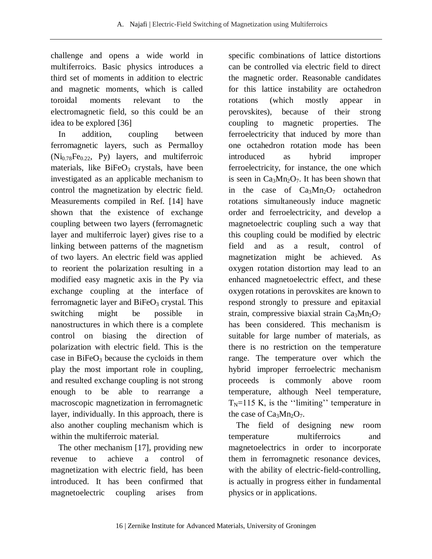challenge and opens a wide world in multiferroics. Basic physics introduces a third set of moments in addition to electric and magnetic moments, which is called toroidal moments relevant to the electromagnetic field, so this could be an idea to be explored [36]

In addition, coupling between ferromagnetic layers, such as Permalloy  $(Ni_{0.78}Fe<sub>0.22</sub>, Py)$  layers, and multiferroic materials, like  $BiFeO<sub>3</sub>$  crystals, have been investigated as an applicable mechanism to control the magnetization by electric field. Measurements compiled in Ref. [14] have shown that the existence of exchange coupling between two layers (ferromagnetic layer and multiferroic layer) gives rise to a linking between patterns of the magnetism of two layers. An electric field was applied to reorient the polarization resulting in a modified easy magnetic axis in the Py via exchange coupling at the interface of ferromagnetic layer and  $BiFeO<sub>3</sub>$  crystal. This switching might be possible in nanostructures in which there is a complete control on biasing the direction of polarization with electric field. This is the case in  $BiFeO<sub>3</sub>$  because the cycloids in them play the most important role in coupling, and resulted exchange coupling is not strong enough to be able to rearrange a macroscopic magnetization in ferromagnetic layer, individually. In this approach, there is also another coupling mechanism which is within the multiferroic material.

The other mechanism [17], providing new revenue to achieve a control of magnetization with electric field, has been introduced. It has been confirmed that magnetoelectric coupling arises from specific combinations of lattice distortions can be controlled via electric field to direct the magnetic order. Reasonable candidates for this lattice instability are octahedron rotations (which mostly appear in perovskites), because of their strong coupling to magnetic properties. The ferroelectricity that induced by more than one octahedron rotation mode has been introduced as hybrid improper ferroelectricity, for instance, the one which is seen in  $Ca_3Mn_2O_7$ . It has been shown that in the case of  $Ca<sub>3</sub>Mn<sub>2</sub>O<sub>7</sub>$  octahedron rotations simultaneously induce magnetic order and ferroelectricity, and develop a magnetoelectric coupling such a way that this coupling could be modified by electric field and as a result, control of magnetization might be achieved. As oxygen rotation distortion may lead to an enhanced magnetoelectric effect, and these oxygen rotations in perovskites are known to respond strongly to pressure and epitaxial strain, compressive biaxial strain  $Ca<sub>3</sub>Mn<sub>2</sub>O<sub>7</sub>$ has been considered. This mechanism is suitable for large number of materials, as there is no restriction on the temperature range. The temperature over which the hybrid improper ferroelectric mechanism proceeds is commonly above room temperature, although Neel temperature,  $T_N$ =115 K, is the "limiting" temperature in the case of  $Ca<sub>3</sub>Mn<sub>2</sub>O<sub>7</sub>$ .

The field of designing new room temperature multiferroics and magnetoelectrics in order to incorporate them in ferromagnetic resonance devices, with the ability of electric-field-controlling, is actually in progress either in fundamental physics or in applications.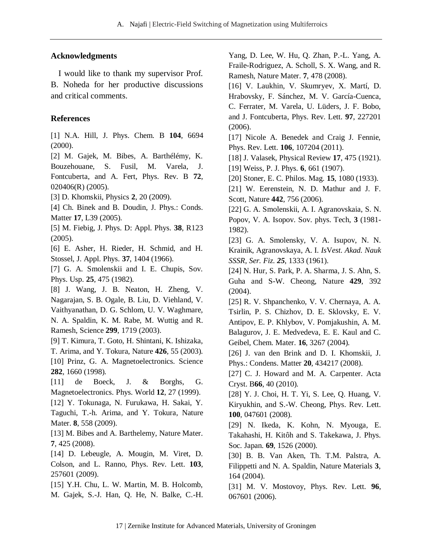### **Acknowledgments**

I would like to thank my supervisor Prof. B. Noheda for her productive discussions and critical comments.

### **References**

[1] N.A. Hill, J. Phys. Chem. B **104**, 6694 (2000).

[2] M. Gajek, M. Bibes, A. Barthélémy, K. Bouzehouane, S. Fusil, M. Varela, J. Fontcuberta, and A. Fert, Phys. Rev. B **72**, 020406(R) (2005).

[3] D. Khomskii, Physics **2**, 20 (2009).

[4] Ch. Binek and B. Doudin, J. Phys.: Conds. Matter **17**, L39 (2005).

[5] M. Fiebig, J. Phys. D: Appl. Phys. **38**, R123 (2005).

[6] E. Asher, H. Rieder, H. Schmid, and H. Stossel, J. Appl. Phys. **37**, 1404 (1966).

[7] G. A. Smolenskii and I. E. Chupis, Sov. Phys. Usp. **25**, 475 (1982).

[8] [J. Wang,](http://www.sciencemag.org/search?author1=J.+Wang&sortspec=date&submit=Submit) [J. B. Neaton,](http://www.sciencemag.org/search?author1=J.+B.+Neaton&sortspec=date&submit=Submit) [H. Zheng,](http://www.sciencemag.org/search?author1=H.+Zheng&sortspec=date&submit=Submit) [V.](http://www.sciencemag.org/search?author1=V.+Nagarajan&sortspec=date&submit=Submit)  [Nagarajan,](http://www.sciencemag.org/search?author1=V.+Nagarajan&sortspec=date&submit=Submit) [S. B. Ogale,](http://www.sciencemag.org/search?author1=S.+B.+Ogale&sortspec=date&submit=Submit) [B. Liu,](http://www.sciencemag.org/search?author1=B.+Liu&sortspec=date&submit=Submit) [D. Viehland,](http://www.sciencemag.org/search?author1=D.+Viehland&sortspec=date&submit=Submit) [V.](http://www.sciencemag.org/search?author1=V.+Vaithyanathan&sortspec=date&submit=Submit)  [Vaithyanathan,](http://www.sciencemag.org/search?author1=V.+Vaithyanathan&sortspec=date&submit=Submit) [D. G. Schlom,](http://www.sciencemag.org/search?author1=D.+G.+Schlom&sortspec=date&submit=Submit) [U. V. Waghmare,](http://www.sciencemag.org/search?author1=U.+V.+Waghmare&sortspec=date&submit=Submit) [N. A. Spaldin,](http://www.sciencemag.org/search?author1=N.+A.+Spaldin&sortspec=date&submit=Submit) [K. M. Rabe,](http://www.sciencemag.org/search?author1=K.+M.+Rabe&sortspec=date&submit=Submit) [M. Wuttig](http://www.sciencemag.org/search?author1=M.+Wuttig&sortspec=date&submit=Submit) and [R.](http://www.sciencemag.org/search?author1=R.+Ramesh&sortspec=date&submit=Submit)  [Ramesh,](http://www.sciencemag.org/search?author1=R.+Ramesh&sortspec=date&submit=Submit) Science **299**, 1719 (2003).

[9] T. Kimura, T. Goto, H. Shintani, K. Ishizaka, T. Arima, and Y. Tokura, Nature **426**, 55 (2003). [10] Prinz, G. A. Magnetoelectronics. Science **282**, 1660 (1998).

[11] de Boeck, J. & Borghs, G. Magnetoelectronics. Phys. World **12**, 27 (1999).

[12] Y. Tokunaga, N. Furukawa, H. Sakai, Y. Taguchi, T.-h. Arima, and Y. Tokura, Nature Mater. **8**, 558 (2009).

[13] M. Bibes and A. Barthelemy, Nature Mater. **7**, 425 (2008).

[14] D. Lebeugle, A. Mougin, M. Viret, D. Colson, and L. Ranno, Phys. Rev. Lett. **103**, 257601 (2009).

[15] Y.H. Chu, L. W. Martin, M. B. Holcomb, M. Gajek, S.-J. Han, Q. He, N. Balke, C.-H. Yang, D. Lee, W. Hu, Q. Zhan, P.-L. Yang, A. Fraile-Rodriguez, A. Scholl, S. X. Wang, and R. Ramesh, Nature Mater. **7**, 478 (2008).

[16] [V. Laukhin,](http://publish.aps.org/search/field/author/Laukhin_V) [V. Skumryev,](http://publish.aps.org/search/field/author/Skumryev_V) [X. Martí,](http://publish.aps.org/search/field/author/Marti_X) [D.](http://publish.aps.org/search/field/author/Hrabovsky_D)  [Hrabovsky,](http://publish.aps.org/search/field/author/Hrabovsky_D) [F. Sánchez,](http://publish.aps.org/search/field/author/Sanchez_F) [M. V. García-Cuenca,](http://publish.aps.org/search/field/author/Garcia_Cuenca_M_V) [C. Ferrater,](http://publish.aps.org/search/field/author/Ferrater_C) [M. Varela,](http://publish.aps.org/search/field/author/Varela_M) [U. Lüders,](http://publish.aps.org/search/field/author/Luders_U) [J. F. Bobo,](http://publish.aps.org/search/field/author/Bobo_J_F) and [J. Fontcuberta,](http://publish.aps.org/search/field/author/Fontcuberta_J) Phys. Rev. Lett. **97**, 227201 (2006).

[17] Nicole A. Benedek and Craig J. Fennie, Phys. Rev. Lett. **106**, 107204 (2011).

[18] J. Valasek, Physical Review **17**, 475 (1921).

[19] Weiss, P. J. Phys. **6**, 661 (1907).

[20] Stoner, E. C. Philos. Mag. **15**, 1080 (1933).

[21] W. Eerenstein, N. D. Mathur and J. F. Scott, Nature **442**, 756 (2006).

[22] G. A. Smolenskii, A. I. Agranovskaia, S. N. Popov, V. A. Isopov. Sov. phys. Tech, **3** (1981- 1982).

[23] G. A. Smolensky, V. A. Isupov, N. N. Krainik, Agranovskaya, A. I. *Is*V*est. Akad. Nauk SSSR, Ser. Fiz. 25*, 1333 (1961).

[24] N. Hur, S. Park, P. A. Sharma, J. S. Ahn, S. Guha and S-W. Cheong, Nature **429**, 392 (2004).

[25] R. V. Shpanchenko, V. V. Chernaya, A. A. Tsirlin, P. S. Chizhov, D. E. Sklovsky, E. V. Antipov, E. P. Khlybov, V. Pomjakushin, A. M. Balagurov, J. E. Medvedeva, E. E. Kaul and C. Geibel, Chem. Mater. **16**, 3267 (2004).

[26] J. van den Brink and D. I. Khomskii, J. Phys.: Condens. Matter **20**, 434217 (2008).

[27] [C. J. Howard](http://scripts.iucr.org/cgi-bin/citedin?search_on=name&author_name=Howard,%20C.J.) and [M. A. Carpenter.](http://scripts.iucr.org/cgi-bin/citedin?search_on=name&author_name=Carpenter,%20M.A.) Acta Cryst. B**66**, 40 (2010).

[28] [Y. J. Choi,](http://publish.aps.org/search/field/author/Choi_Y_J) [H. T. Yi,](http://publish.aps.org/search/field/author/Yi_H_T) [S. Lee,](http://publish.aps.org/search/field/author/Lee_S) [Q. Huang,](http://publish.aps.org/search/field/author/Huang_Q) [V.](http://publish.aps.org/search/field/author/Kiryukhin_V)  [Kiryukhin,](http://publish.aps.org/search/field/author/Kiryukhin_V) and [S.-W. Cheong,](http://publish.aps.org/search/field/author/Cheong_S_W) Phys. Rev. Lett. **100**, 047601 (2008).

[29] [N. Ikeda,](http://jpsj.ipap.jp/cgi-bin/findarticle?journal=JPSJ&author=N%2EIkeda) [K. Kohn,](http://jpsj.ipap.jp/cgi-bin/findarticle?journal=JPSJ&author=K%2EKohn) [N. Myouga,](http://jpsj.ipap.jp/cgi-bin/findarticle?journal=JPSJ&author=N%2EMyouga) [E.](http://jpsj.ipap.jp/cgi-bin/findarticle?journal=JPSJ&author=E%2ETakahashi)  [Takahashi,](http://jpsj.ipap.jp/cgi-bin/findarticle?journal=JPSJ&author=E%2ETakahashi) [H. Kitôh](http://jpsj.ipap.jp/cgi-bin/findarticle?journal=JPSJ&author=H%2EKitoh) and [S. Takekawa,](http://jpsj.ipap.jp/cgi-bin/findarticle?journal=JPSJ&author=S%2ETakekawa) J. Phys. Soc. Japan. **69**, 1526 (2000).

[30] B. B. Van Aken, Th. T.M. Palstra, A. Filippetti and N. A. Spaldin, Nature Materials **3**, 164 (2004).

[31] M. V. Mostovoy, Phys. Rev. Lett. **96**, 067601 (2006).